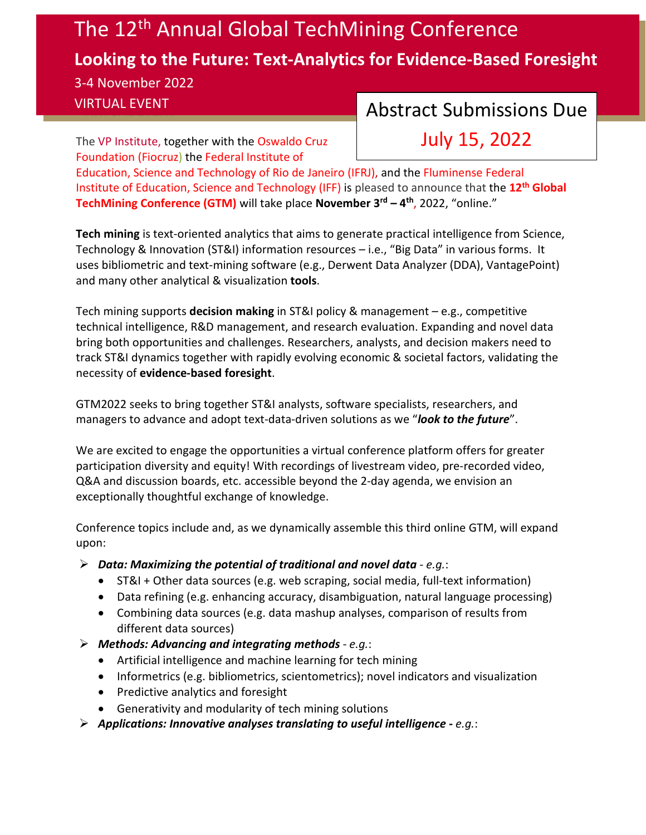## The 12<sup>th</sup> Annual Global TechMining Conference **Looking to the Future: Text-Analytics for Evidence-Based Foresight** 3-4 November 2022

## VIRTUAL EVENT **Abstract Submissions Due**

The [VP Institute,](http://www.vpinstitute.org/) together with the [Oswaldo Cruz](https://portal.fiocruz.br/en/foundation)  [Foundation \(Fiocruz\)](https://portal.fiocruz.br/en/foundation) the [Federal Institute of](https://portal.ifrj.edu.br/index.php) 

July 15, 2022

[Education, Science and Technology of Rio de Janeiro \(IFRJ\),](https://portal.ifrj.edu.br/index.php) and the [Fluminense Federal](https://portal1.iff.edu.br/)  [Institute of Education, Science and Technology \(IFF\)](https://portal1.iff.edu.br/) is pleased to announce that the **12th [Global](http://www.gtmconference.org/)  [TechMining Conference](http://www.gtmconference.org/) (GTM)** will take place **November 3rd – 4th**, 2022, "online."

**Tech mining** is text-oriented analytics that aims to generate practical intelligence from Science, Technology & Innovation (ST&I) information resources – i.e., "Big Data" in various forms. It uses bibliometric and text-mining software (e.g., Derwent Data Analyzer (DDA), VantagePoint) and many other analytical & visualization **tools**.

Tech mining supports **decision making** in ST&I policy & management – e.g., competitive technical intelligence, R&D management, and research evaluation. Expanding and novel data bring both opportunities and challenges. Researchers, analysts, and decision makers need to track ST&I dynamics together with rapidly evolving economic & societal factors, validating the necessity of **evidence-based foresight**.

GTM2022 seeks to bring together ST&I analysts, software specialists, researchers, and managers to advance and adopt text-data-driven solutions as we "*look to the future*".

We are excited to engage the opportunities a virtual conference platform offers for greater participation diversity and equity! With recordings of livestream video, pre-recorded video, Q&A and discussion boards, etc. accessible beyond the 2-day agenda, we envision an exceptionally thoughtful exchange of knowledge.

Conference topics include and, as we dynamically assemble this third online GTM, will expand upon:

- *Data: Maximizing the potential of traditional and novel data - e.g.*:
	- ST&I + Other data sources (e.g. web scraping, social media, full-text information)
	- Data refining (e.g. enhancing accuracy, disambiguation, natural language processing)
	- Combining data sources (e.g. data mashup analyses, comparison of results from different data sources)
- *Methods: Advancing and integrating methods - e.g.*:
	- Artificial intelligence and machine learning for tech mining
	- Informetrics (e.g. bibliometrics, scientometrics); novel indicators and visualization
	- Predictive analytics and foresight
	- Generativity and modularity of tech mining solutions
- *Applications: Innovative analyses translating to useful intelligence - e.g.*: